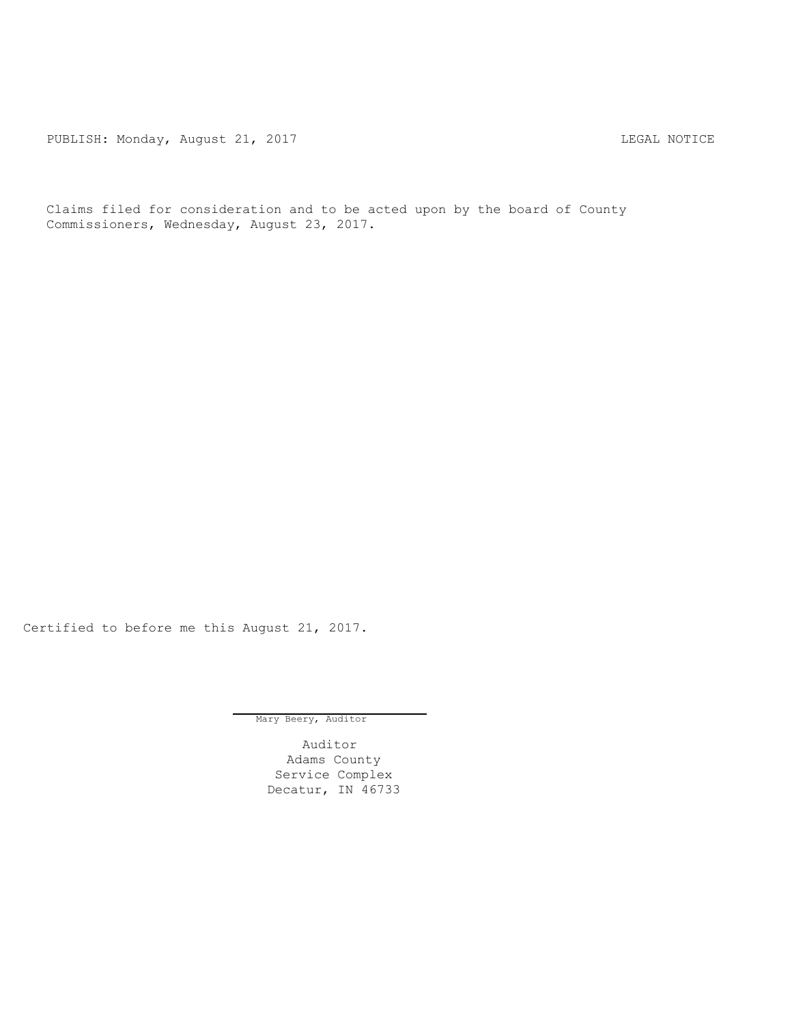PUBLISH: Monday, August 21, 2017 CHANGER AND THE MOTICE

Claims filed for consideration and to be acted upon by the board of County Commissioners, Wednesday, August 23, 2017.

Certified to before me this August 21, 2017.

Mary Beery, Auditor

Auditor Adams County Service Complex Decatur, IN 46733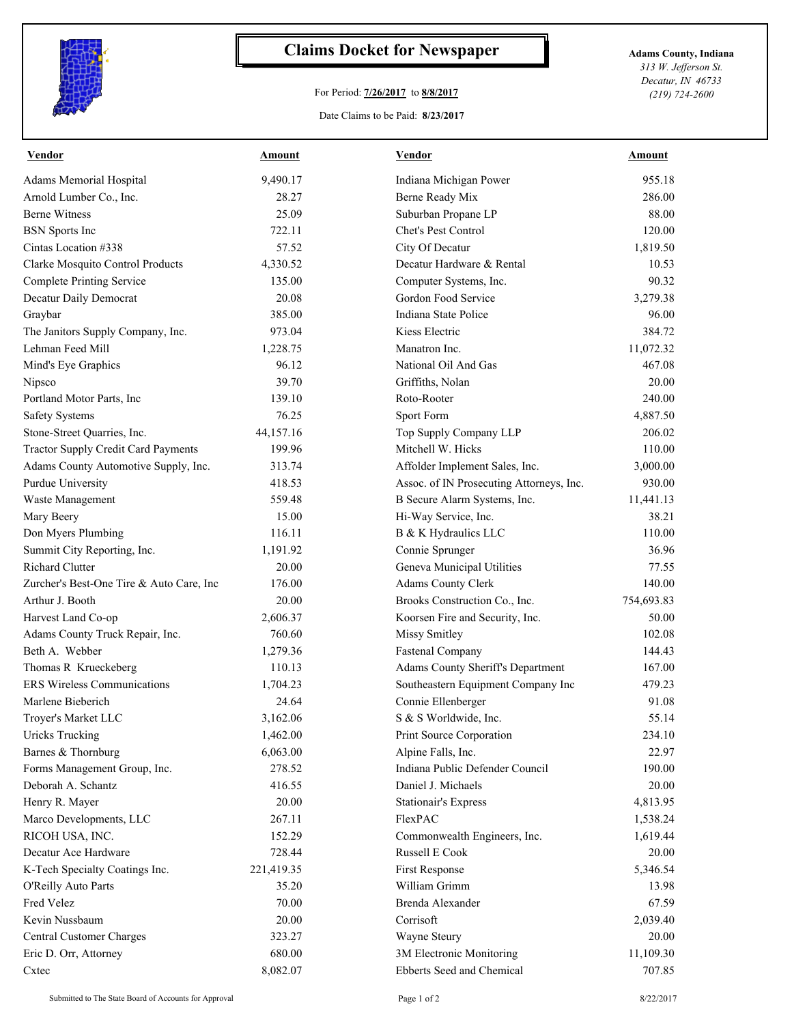

## **Claims Docket for Newspaper Adams County, Indiana**

## For Period: **7/26/2017** to **8/8/2017**

Date Claims to be Paid: **8/23/2017**

*313 W. Jefferson St. Decatur, IN 46733 (219) 724-2600*

| Adams Memorial Hospital<br>9,490.17<br>Indiana Michigan Power<br>Arnold Lumber Co., Inc.<br>28.27<br>Berne Ready Mix<br><b>Berne Witness</b><br>25.09<br>Suburban Propane LP<br>722.11<br>Chet's Pest Control<br><b>BSN</b> Sports Inc<br>Cintas Location #338<br>57.52<br>City Of Decatur<br>Clarke Mosquito Control Products<br>4,330.52<br>Decatur Hardware & Rental<br><b>Complete Printing Service</b><br>135.00<br>Computer Systems, Inc.<br>Gordon Food Service<br>Decatur Daily Democrat<br>20.08<br>385.00<br>Indiana State Police<br>Graybar<br>The Janitors Supply Company, Inc.<br>973.04<br>Kiess Electric<br>Lehman Feed Mill<br>1,228.75<br>Manatron Inc.<br>Mind's Eye Graphics<br>96.12<br>National Oil And Gas<br>39.70<br>Nipsco<br>Griffiths, Nolan<br>Portland Motor Parts, Inc<br>139.10<br>Roto-Rooter<br>76.25<br>Sport Form<br><b>Safety Systems</b><br>Stone-Street Quarries, Inc.<br>44,157.16<br>Top Supply Company LLP<br><b>Tractor Supply Credit Card Payments</b><br>199.96<br>Mitchell W. Hicks<br>Adams County Automotive Supply, Inc.<br>313.74<br>Affolder Implement Sales, Inc.<br>Purdue University<br>418.53<br>Assoc. of IN Prosecuting Attorneys, Inc.<br>Waste Management<br>559.48<br>B Secure Alarm Systems, Inc.<br>15.00<br>Mary Beery<br>Hi-Way Service, Inc.<br>Don Myers Plumbing<br>116.11<br>B & K Hydraulics LLC<br>Summit City Reporting, Inc.<br>1,191.92<br>Connie Sprunger<br><b>Richard Clutter</b><br>Geneva Municipal Utilities<br>20.00<br>Zurcher's Best-One Tire & Auto Care, Inc<br>Adams County Clerk<br>176.00<br>Arthur J. Booth<br>20.00<br>Brooks Construction Co., Inc.<br>Harvest Land Co-op<br>2,606.37<br>Koorsen Fire and Security, Inc.<br>Adams County Truck Repair, Inc.<br><b>Missy Smitley</b><br>760.60 | 955.18<br>286.00<br>88.00<br>120.00<br>1,819.50<br>10.53<br>90.32<br>3,279.38<br>96.00<br>384.72 |
|----------------------------------------------------------------------------------------------------------------------------------------------------------------------------------------------------------------------------------------------------------------------------------------------------------------------------------------------------------------------------------------------------------------------------------------------------------------------------------------------------------------------------------------------------------------------------------------------------------------------------------------------------------------------------------------------------------------------------------------------------------------------------------------------------------------------------------------------------------------------------------------------------------------------------------------------------------------------------------------------------------------------------------------------------------------------------------------------------------------------------------------------------------------------------------------------------------------------------------------------------------------------------------------------------------------------------------------------------------------------------------------------------------------------------------------------------------------------------------------------------------------------------------------------------------------------------------------------------------------------------------------------------------------------------------------------------------------------------------------------------------------------------------------|--------------------------------------------------------------------------------------------------|
|                                                                                                                                                                                                                                                                                                                                                                                                                                                                                                                                                                                                                                                                                                                                                                                                                                                                                                                                                                                                                                                                                                                                                                                                                                                                                                                                                                                                                                                                                                                                                                                                                                                                                                                                                                                        |                                                                                                  |
|                                                                                                                                                                                                                                                                                                                                                                                                                                                                                                                                                                                                                                                                                                                                                                                                                                                                                                                                                                                                                                                                                                                                                                                                                                                                                                                                                                                                                                                                                                                                                                                                                                                                                                                                                                                        |                                                                                                  |
|                                                                                                                                                                                                                                                                                                                                                                                                                                                                                                                                                                                                                                                                                                                                                                                                                                                                                                                                                                                                                                                                                                                                                                                                                                                                                                                                                                                                                                                                                                                                                                                                                                                                                                                                                                                        |                                                                                                  |
|                                                                                                                                                                                                                                                                                                                                                                                                                                                                                                                                                                                                                                                                                                                                                                                                                                                                                                                                                                                                                                                                                                                                                                                                                                                                                                                                                                                                                                                                                                                                                                                                                                                                                                                                                                                        |                                                                                                  |
|                                                                                                                                                                                                                                                                                                                                                                                                                                                                                                                                                                                                                                                                                                                                                                                                                                                                                                                                                                                                                                                                                                                                                                                                                                                                                                                                                                                                                                                                                                                                                                                                                                                                                                                                                                                        |                                                                                                  |
|                                                                                                                                                                                                                                                                                                                                                                                                                                                                                                                                                                                                                                                                                                                                                                                                                                                                                                                                                                                                                                                                                                                                                                                                                                                                                                                                                                                                                                                                                                                                                                                                                                                                                                                                                                                        |                                                                                                  |
|                                                                                                                                                                                                                                                                                                                                                                                                                                                                                                                                                                                                                                                                                                                                                                                                                                                                                                                                                                                                                                                                                                                                                                                                                                                                                                                                                                                                                                                                                                                                                                                                                                                                                                                                                                                        |                                                                                                  |
|                                                                                                                                                                                                                                                                                                                                                                                                                                                                                                                                                                                                                                                                                                                                                                                                                                                                                                                                                                                                                                                                                                                                                                                                                                                                                                                                                                                                                                                                                                                                                                                                                                                                                                                                                                                        |                                                                                                  |
|                                                                                                                                                                                                                                                                                                                                                                                                                                                                                                                                                                                                                                                                                                                                                                                                                                                                                                                                                                                                                                                                                                                                                                                                                                                                                                                                                                                                                                                                                                                                                                                                                                                                                                                                                                                        |                                                                                                  |
|                                                                                                                                                                                                                                                                                                                                                                                                                                                                                                                                                                                                                                                                                                                                                                                                                                                                                                                                                                                                                                                                                                                                                                                                                                                                                                                                                                                                                                                                                                                                                                                                                                                                                                                                                                                        |                                                                                                  |
|                                                                                                                                                                                                                                                                                                                                                                                                                                                                                                                                                                                                                                                                                                                                                                                                                                                                                                                                                                                                                                                                                                                                                                                                                                                                                                                                                                                                                                                                                                                                                                                                                                                                                                                                                                                        | 11,072.32                                                                                        |
|                                                                                                                                                                                                                                                                                                                                                                                                                                                                                                                                                                                                                                                                                                                                                                                                                                                                                                                                                                                                                                                                                                                                                                                                                                                                                                                                                                                                                                                                                                                                                                                                                                                                                                                                                                                        | 467.08                                                                                           |
|                                                                                                                                                                                                                                                                                                                                                                                                                                                                                                                                                                                                                                                                                                                                                                                                                                                                                                                                                                                                                                                                                                                                                                                                                                                                                                                                                                                                                                                                                                                                                                                                                                                                                                                                                                                        | 20.00                                                                                            |
|                                                                                                                                                                                                                                                                                                                                                                                                                                                                                                                                                                                                                                                                                                                                                                                                                                                                                                                                                                                                                                                                                                                                                                                                                                                                                                                                                                                                                                                                                                                                                                                                                                                                                                                                                                                        | 240.00                                                                                           |
|                                                                                                                                                                                                                                                                                                                                                                                                                                                                                                                                                                                                                                                                                                                                                                                                                                                                                                                                                                                                                                                                                                                                                                                                                                                                                                                                                                                                                                                                                                                                                                                                                                                                                                                                                                                        | 4,887.50                                                                                         |
|                                                                                                                                                                                                                                                                                                                                                                                                                                                                                                                                                                                                                                                                                                                                                                                                                                                                                                                                                                                                                                                                                                                                                                                                                                                                                                                                                                                                                                                                                                                                                                                                                                                                                                                                                                                        | 206.02                                                                                           |
|                                                                                                                                                                                                                                                                                                                                                                                                                                                                                                                                                                                                                                                                                                                                                                                                                                                                                                                                                                                                                                                                                                                                                                                                                                                                                                                                                                                                                                                                                                                                                                                                                                                                                                                                                                                        | 110.00                                                                                           |
|                                                                                                                                                                                                                                                                                                                                                                                                                                                                                                                                                                                                                                                                                                                                                                                                                                                                                                                                                                                                                                                                                                                                                                                                                                                                                                                                                                                                                                                                                                                                                                                                                                                                                                                                                                                        | 3,000.00                                                                                         |
|                                                                                                                                                                                                                                                                                                                                                                                                                                                                                                                                                                                                                                                                                                                                                                                                                                                                                                                                                                                                                                                                                                                                                                                                                                                                                                                                                                                                                                                                                                                                                                                                                                                                                                                                                                                        | 930.00                                                                                           |
|                                                                                                                                                                                                                                                                                                                                                                                                                                                                                                                                                                                                                                                                                                                                                                                                                                                                                                                                                                                                                                                                                                                                                                                                                                                                                                                                                                                                                                                                                                                                                                                                                                                                                                                                                                                        | 11,441.13                                                                                        |
|                                                                                                                                                                                                                                                                                                                                                                                                                                                                                                                                                                                                                                                                                                                                                                                                                                                                                                                                                                                                                                                                                                                                                                                                                                                                                                                                                                                                                                                                                                                                                                                                                                                                                                                                                                                        | 38.21                                                                                            |
|                                                                                                                                                                                                                                                                                                                                                                                                                                                                                                                                                                                                                                                                                                                                                                                                                                                                                                                                                                                                                                                                                                                                                                                                                                                                                                                                                                                                                                                                                                                                                                                                                                                                                                                                                                                        | 110.00                                                                                           |
|                                                                                                                                                                                                                                                                                                                                                                                                                                                                                                                                                                                                                                                                                                                                                                                                                                                                                                                                                                                                                                                                                                                                                                                                                                                                                                                                                                                                                                                                                                                                                                                                                                                                                                                                                                                        | 36.96                                                                                            |
|                                                                                                                                                                                                                                                                                                                                                                                                                                                                                                                                                                                                                                                                                                                                                                                                                                                                                                                                                                                                                                                                                                                                                                                                                                                                                                                                                                                                                                                                                                                                                                                                                                                                                                                                                                                        | 77.55                                                                                            |
|                                                                                                                                                                                                                                                                                                                                                                                                                                                                                                                                                                                                                                                                                                                                                                                                                                                                                                                                                                                                                                                                                                                                                                                                                                                                                                                                                                                                                                                                                                                                                                                                                                                                                                                                                                                        | 140.00                                                                                           |
|                                                                                                                                                                                                                                                                                                                                                                                                                                                                                                                                                                                                                                                                                                                                                                                                                                                                                                                                                                                                                                                                                                                                                                                                                                                                                                                                                                                                                                                                                                                                                                                                                                                                                                                                                                                        | 754,693.83                                                                                       |
|                                                                                                                                                                                                                                                                                                                                                                                                                                                                                                                                                                                                                                                                                                                                                                                                                                                                                                                                                                                                                                                                                                                                                                                                                                                                                                                                                                                                                                                                                                                                                                                                                                                                                                                                                                                        | 50.00                                                                                            |
|                                                                                                                                                                                                                                                                                                                                                                                                                                                                                                                                                                                                                                                                                                                                                                                                                                                                                                                                                                                                                                                                                                                                                                                                                                                                                                                                                                                                                                                                                                                                                                                                                                                                                                                                                                                        | 102.08                                                                                           |
| Beth A. Webber<br>1,279.36<br><b>Fastenal Company</b>                                                                                                                                                                                                                                                                                                                                                                                                                                                                                                                                                                                                                                                                                                                                                                                                                                                                                                                                                                                                                                                                                                                                                                                                                                                                                                                                                                                                                                                                                                                                                                                                                                                                                                                                  | 144.43                                                                                           |
| Thomas R Krueckeberg<br>110.13<br>Adams County Sheriff's Department                                                                                                                                                                                                                                                                                                                                                                                                                                                                                                                                                                                                                                                                                                                                                                                                                                                                                                                                                                                                                                                                                                                                                                                                                                                                                                                                                                                                                                                                                                                                                                                                                                                                                                                    | 167.00                                                                                           |
| <b>ERS Wireless Communications</b><br>1,704.23<br>Southeastern Equipment Company Inc                                                                                                                                                                                                                                                                                                                                                                                                                                                                                                                                                                                                                                                                                                                                                                                                                                                                                                                                                                                                                                                                                                                                                                                                                                                                                                                                                                                                                                                                                                                                                                                                                                                                                                   | 479.23                                                                                           |
| Marlene Bieberich<br>24.64<br>Connie Ellenberger                                                                                                                                                                                                                                                                                                                                                                                                                                                                                                                                                                                                                                                                                                                                                                                                                                                                                                                                                                                                                                                                                                                                                                                                                                                                                                                                                                                                                                                                                                                                                                                                                                                                                                                                       | 91.08                                                                                            |
| Troyer's Market LLC<br>3,162.06<br>S & S Worldwide, Inc.                                                                                                                                                                                                                                                                                                                                                                                                                                                                                                                                                                                                                                                                                                                                                                                                                                                                                                                                                                                                                                                                                                                                                                                                                                                                                                                                                                                                                                                                                                                                                                                                                                                                                                                               | 55.14                                                                                            |
| <b>Uricks Trucking</b><br>1,462.00<br>Print Source Corporation                                                                                                                                                                                                                                                                                                                                                                                                                                                                                                                                                                                                                                                                                                                                                                                                                                                                                                                                                                                                                                                                                                                                                                                                                                                                                                                                                                                                                                                                                                                                                                                                                                                                                                                         | 234.10                                                                                           |
| Barnes & Thornburg<br>6,063.00<br>Alpine Falls, Inc.                                                                                                                                                                                                                                                                                                                                                                                                                                                                                                                                                                                                                                                                                                                                                                                                                                                                                                                                                                                                                                                                                                                                                                                                                                                                                                                                                                                                                                                                                                                                                                                                                                                                                                                                   | 22.97                                                                                            |
| Forms Management Group, Inc.<br>278.52<br>Indiana Public Defender Council                                                                                                                                                                                                                                                                                                                                                                                                                                                                                                                                                                                                                                                                                                                                                                                                                                                                                                                                                                                                                                                                                                                                                                                                                                                                                                                                                                                                                                                                                                                                                                                                                                                                                                              | 190.00                                                                                           |
| Deborah A. Schantz<br>Daniel J. Michaels<br>416.55                                                                                                                                                                                                                                                                                                                                                                                                                                                                                                                                                                                                                                                                                                                                                                                                                                                                                                                                                                                                                                                                                                                                                                                                                                                                                                                                                                                                                                                                                                                                                                                                                                                                                                                                     | 20.00                                                                                            |
| 20.00<br>Henry R. Mayer<br><b>Stationair's Express</b>                                                                                                                                                                                                                                                                                                                                                                                                                                                                                                                                                                                                                                                                                                                                                                                                                                                                                                                                                                                                                                                                                                                                                                                                                                                                                                                                                                                                                                                                                                                                                                                                                                                                                                                                 | 4,813.95                                                                                         |
| Marco Developments, LLC<br>267.11<br>FlexPAC                                                                                                                                                                                                                                                                                                                                                                                                                                                                                                                                                                                                                                                                                                                                                                                                                                                                                                                                                                                                                                                                                                                                                                                                                                                                                                                                                                                                                                                                                                                                                                                                                                                                                                                                           | 1,538.24                                                                                         |
| 152.29<br>RICOH USA, INC.<br>Commonwealth Engineers, Inc.                                                                                                                                                                                                                                                                                                                                                                                                                                                                                                                                                                                                                                                                                                                                                                                                                                                                                                                                                                                                                                                                                                                                                                                                                                                                                                                                                                                                                                                                                                                                                                                                                                                                                                                              | 1,619.44                                                                                         |
| 728.44<br>Russell E Cook<br>Decatur Ace Hardware                                                                                                                                                                                                                                                                                                                                                                                                                                                                                                                                                                                                                                                                                                                                                                                                                                                                                                                                                                                                                                                                                                                                                                                                                                                                                                                                                                                                                                                                                                                                                                                                                                                                                                                                       | 20.00                                                                                            |
| K-Tech Specialty Coatings Inc.<br>221,419.35<br>First Response                                                                                                                                                                                                                                                                                                                                                                                                                                                                                                                                                                                                                                                                                                                                                                                                                                                                                                                                                                                                                                                                                                                                                                                                                                                                                                                                                                                                                                                                                                                                                                                                                                                                                                                         | 5,346.54                                                                                         |
| William Grimm<br>O'Reilly Auto Parts<br>35.20                                                                                                                                                                                                                                                                                                                                                                                                                                                                                                                                                                                                                                                                                                                                                                                                                                                                                                                                                                                                                                                                                                                                                                                                                                                                                                                                                                                                                                                                                                                                                                                                                                                                                                                                          | 13.98                                                                                            |
| Fred Velez<br>$70.00\,$<br>Brenda Alexander                                                                                                                                                                                                                                                                                                                                                                                                                                                                                                                                                                                                                                                                                                                                                                                                                                                                                                                                                                                                                                                                                                                                                                                                                                                                                                                                                                                                                                                                                                                                                                                                                                                                                                                                            | 67.59                                                                                            |
| Corrisoft<br>Kevin Nussbaum<br>20.00                                                                                                                                                                                                                                                                                                                                                                                                                                                                                                                                                                                                                                                                                                                                                                                                                                                                                                                                                                                                                                                                                                                                                                                                                                                                                                                                                                                                                                                                                                                                                                                                                                                                                                                                                   | 2,039.40                                                                                         |
| Central Customer Charges<br>323.27<br>Wayne Steury                                                                                                                                                                                                                                                                                                                                                                                                                                                                                                                                                                                                                                                                                                                                                                                                                                                                                                                                                                                                                                                                                                                                                                                                                                                                                                                                                                                                                                                                                                                                                                                                                                                                                                                                     | 20.00                                                                                            |
| 680.00<br>3M Electronic Monitoring<br>Eric D. Orr, Attorney                                                                                                                                                                                                                                                                                                                                                                                                                                                                                                                                                                                                                                                                                                                                                                                                                                                                                                                                                                                                                                                                                                                                                                                                                                                                                                                                                                                                                                                                                                                                                                                                                                                                                                                            | 11,109.30                                                                                        |
| 8,082.07<br>Ebberts Seed and Chemical<br>Cxtec                                                                                                                                                                                                                                                                                                                                                                                                                                                                                                                                                                                                                                                                                                                                                                                                                                                                                                                                                                                                                                                                                                                                                                                                                                                                                                                                                                                                                                                                                                                                                                                                                                                                                                                                         | 707.85                                                                                           |